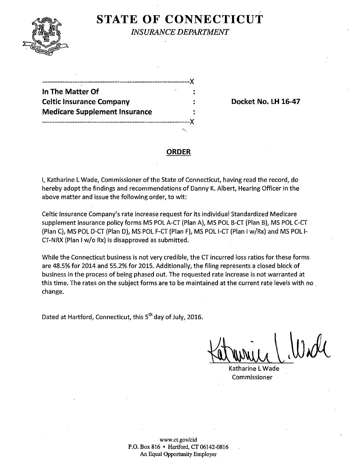

# **STATE OF CONNECTICUT**

*INSURANCE DEPARTMENT* 

| ------------------                   |  |
|--------------------------------------|--|
| In The Matter Of                     |  |
| <b>Celtic Insurance Company</b>      |  |
| <b>Medicare Supplement Insurance</b> |  |
|                                      |  |

**Docket No. LH 16-47** 

#### **ORDER**

I, Katharine L Wade, Commissioner of the State of Connecticut, having read the record, do hereby adopt the findings and recommendations of Danny K. Albert, Hearing Officer in the above matter and issue the following order, to wit:

Celtic Insurance Company's rate increase request for its individual Standardized Medicare supplement insurance policy forms MS POL A-CT (Plan A), MS POL B-CT (Plan B), MS POL C-CT (Plan C), MS POL D-CT (Plan D), MS POL F-CT (Plan F), MS POL I-CT (Plan I w/Rx) and MS POL I-CT-NRX (Plan I w/o Rx) is disapproved as submitted.

While the Connecticut business is not very credible, the CT incurred loss ratios for these forms are 48.5% for 2014 and 55.2% for 2015. Additionally, the filing represents a closed block of business in the process of being phased out. The requested rate increase is not warranted at this time. The rates on the subject forms are to be maintained at the current rate levels with no . change.

Dated at Hartford, Connecticut, this 5<sup>th</sup> day of July, 2016.

Katharine L Wade Commissioner

www.ct.gov/cid P.O. Box 816 • Hartford, CT 06142-0816 An Equal Opportunity Employer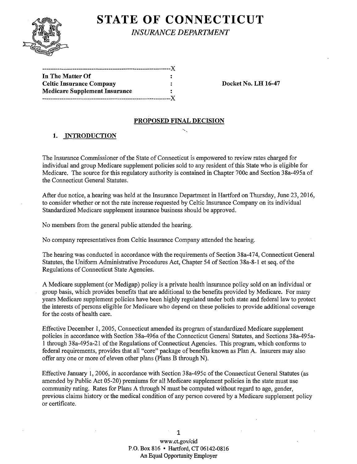

# **STATE OF CONNECTICUT** *INSURANCE DEPARTMENT*

| In The Matter Of                     |      |
|--------------------------------------|------|
| <b>Celtic Insurance Company</b>      |      |
| <b>Medicare Supplement Insurance</b> |      |
|                                      | $-X$ |

Docket No. LH 16-47

#### PROPOSED FINAL DECISION

# 1. INTRODUCTION

The Insurance Commissioner ofthe State of Connecticut is empowered to review rates charged for individual and group Medicare supplement policies sold to any resident of this State who is eligible for Medicare. The source for this regulatory authority is contained in Chapter 700c and Section 38a-495a of the Connecticut General Statutes.

After due notice, a hearing was held at the Insurance Department in Hartford on Thursday, June 23, 2016, to consider whether or not the rate increase requested by Celtic Insurance Company on its individual Standardized Medicare supplement insurance business should be approved.

No members from the general public attended the hearing.

No company representatives from Celtic Insurance Company attended the hearing.

The hearing was conducted in accordance with the requirements of Section 38a-474, Connecticut General Statutes, the Uniform Administrative Procedures Act, Chapter 54 of Section 38a-8-1 et seq. of the Regulations of Connecticut State Agencies.

A Medicare supplement (or Medigap) policy is a private health insurance policy sold on an individual or group basis, which provides benefits that are additional to the benefits provided by Medicare. For many years Medicare supplement policies have been highly regulated under both state and federal law to protect the interests of persons eligible for Medicare who depend on these policies to provide additional coverage for the costs of health care.

Effective December 1, 2005, Connecticut amended its program of standardized Medicare supplement policies in accordance with Section 38a-496a of the Connecticut General Statutes, and Sections 38a-495a-1 through 38a-495a-21 ofthe Regulations of Connecticut Agencies. This program, which conforms to federal requirements, provides that all "core" package of benefits known as Plan A. Insurers may also offer any one or more of eleven other plans (Plans B through N). .

Effective January 1, 2006, in accordance with Section 38a-495c of the Connecticut General Statutes (as amended by Public Act 05-20) premiums for all Medicare supplement policies in the state must use community rating. Rates for Plans A through N must be computed without regard to age, gender, previous claims history or the medical condition of any person covered by a Medicare supplement policy or certificate.

> 1 www.ct.gov/cid P.O. Box 816 • Hartford, CT 06142-0816 An Equal Opportunity Employer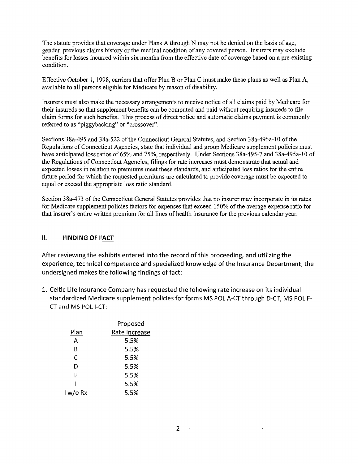The statute provides that coverage under Plans A through N may not be denied on the basis of age, gender, previous claims history or the medical condition of any covered person. Insurers may exclude benefits for losses incurred within six months from the effective date of coverage based on a pre-existing condition.

Effective October 1, 1998, carriers that offer Plan B or Plan C inust make these plans as well as Plan A, available to all persons eligible for Medicare by reason of disability.

Insurers must also make the necessary arrangements to receive notice of all claims paid by Medicare for their insureds so that supplement benefits can be computed and paid without requiring insureds to file claim forms for such benefits. This process of direct notice and automatic claims payment is commonly referred to as "piggybacking'' or "crossover''.

Sections 38a-495 and 38a-522 of the Connecticut General Statutes, and Section 38a-495a-10 of the Regulations of Connecticut Agencies, state that individual and group Medicare supplement policies must have anticipated loss ratios of 65% and 75%, respectively. Under Sections 38a-495-7 and 38a-495a-10 of the Regulations of Connecticut Agencies, filings for rate increases must demonstrate that actual and expected losses in relation to premiums meet these standards, and anticipated loss ratios for the entire future period for which the requested premiums are calculated to provide coverage must be expected to equal or exceed the appropriate loss ratio standard.

Section 3 8a-4 73 of the Connecticut General Statutes provides that no insurer may incorporate in its rates for Medicare supplement policies factors for expenses that exceed 150% of the average expense ratio for that insurer's entire written premium for all lines of health insurance for the previous calendar year.

## II. **FINDING OF FACT**

 $\mathcal{L}$ 

After reviewing the exhibits entered into the record of this proceeding, and utilizing the experience, technical competence and specialized knowledge of the Insurance Department, the undersigned makes the following findings of fact:

1. Celtic Life Insurance Company has requested the following rate increase on its individual standardized Medicare supplement policies for forms MS POL A-CT through D-CT, MS POL F-CT and MS POL 1-CT:

|          | Proposed      |  |
|----------|---------------|--|
| Plan     | Rate Increase |  |
| А        | 5.5%          |  |
| В        | 5.5%          |  |
| С        | 5.5%          |  |
| D        | 5.5%          |  |
| F        | 5.5%          |  |
|          | 5.5%          |  |
| l w/o Rx | 5.5%          |  |

 $\sim$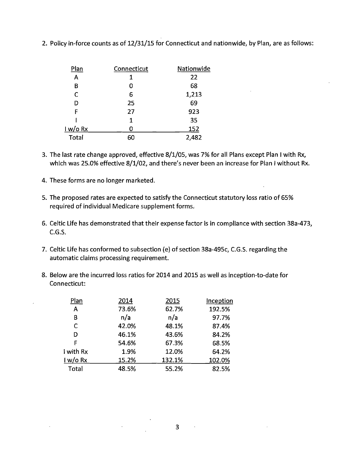| <b>Plan</b> | Connecticut | Nationwide |
|-------------|-------------|------------|
| A           | 1           | 22         |
| В           | 0           | 68         |
| C           | 6           | 1,213      |
| D           | 25          | 69         |
| F           | 27          | 923        |
|             | 1           | 35         |
| 1 w/o Rx    | n           | 152        |
| Total       | 60          | 2,482      |

2. Policy in-force counts as of 12/31/15 for Connecticut and nationwide, by Plan, are as follows:

- 3. The last rate change approved, effective 8/1/05, was 7% for all Plans except Plan I with Rx, which was 25.0% effective 8/1/02, and there's never been an increase for Plan I without Rx.
- 4. These forms are no longer marketed.
- 5. The proposed rates are expected to satisfy the Connecticut statutory loss ratio of 65% required of individual Medicare supplement forms.
- 6. Celtic Life has demonstrated that their expense factor is in compliance with section 38a-473, C.G.S.
- 7. Celtic Life has conformed to subsection (e) of section 38a-495c, C.G.S. regarding the automatic claims processing requirement.
- 8. Below are the incurred loss ratios for 2014 and 2015 as well as inception-to-date for Connecticut:

| 2014  | 2015   | Inception |
|-------|--------|-----------|
| 73.6% | 62.7%  | 192.5%    |
| n/a   | n/a    | 97.7%     |
| 42.0% | 48.1%  | 87.4%     |
| 46.1% | 43.6%  | 84.2%     |
| 54.6% | 67.3%  | 68.5%     |
| 1.9%  | 12.0%  | 64.2%     |
| 15.2% | 132.1% | 102.0%    |
| 48.5% | 55.2%  | 82.5%     |
|       |        |           |

 $\bar{\mathcal{A}}$